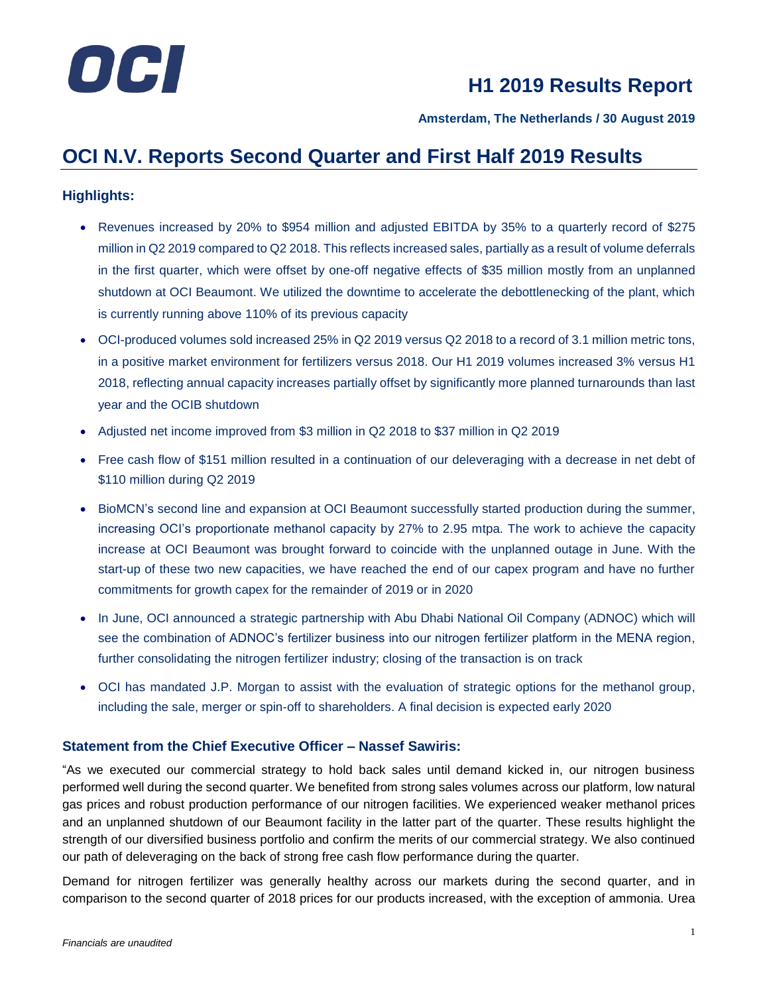

**Amsterdam, The Netherlands / 30 August 2019**

### **OCI N.V. Reports Second Quarter and First Half 2019 Results**

### **Highlights:**

- Revenues increased by 20% to \$954 million and adjusted EBITDA by 35% to a quarterly record of \$275 million in Q2 2019 compared to Q2 2018. This reflects increased sales, partially as a result of volume deferrals in the first quarter, which were offset by one-off negative effects of \$35 million mostly from an unplanned shutdown at OCI Beaumont. We utilized the downtime to accelerate the debottlenecking of the plant, which is currently running above 110% of its previous capacity
- OCI-produced volumes sold increased 25% in Q2 2019 versus Q2 2018 to a record of 3.1 million metric tons, in a positive market environment for fertilizers versus 2018. Our H1 2019 volumes increased 3% versus H1 2018, reflecting annual capacity increases partially offset by significantly more planned turnarounds than last year and the OCIB shutdown
- Adjusted net income improved from \$3 million in Q2 2018 to \$37 million in Q2 2019
- Free cash flow of \$151 million resulted in a continuation of our deleveraging with a decrease in net debt of \$110 million during Q2 2019
- BioMCN's second line and expansion at OCI Beaumont successfully started production during the summer, increasing OCI's proportionate methanol capacity by 27% to 2.95 mtpa. The work to achieve the capacity increase at OCI Beaumont was brought forward to coincide with the unplanned outage in June. With the start-up of these two new capacities, we have reached the end of our capex program and have no further commitments for growth capex for the remainder of 2019 or in 2020
- In June, OCI announced a strategic partnership with Abu Dhabi National Oil Company (ADNOC) which will see the combination of ADNOC's fertilizer business into our nitrogen fertilizer platform in the MENA region, further consolidating the nitrogen fertilizer industry; closing of the transaction is on track
- OCI has mandated J.P. Morgan to assist with the evaluation of strategic options for the methanol group, including the sale, merger or spin-off to shareholders. A final decision is expected early 2020

### **Statement from the Chief Executive Officer – Nassef Sawiris:**

"As we executed our commercial strategy to hold back sales until demand kicked in, our nitrogen business performed well during the second quarter. We benefited from strong sales volumes across our platform, low natural gas prices and robust production performance of our nitrogen facilities. We experienced weaker methanol prices and an unplanned shutdown of our Beaumont facility in the latter part of the quarter. These results highlight the strength of our diversified business portfolio and confirm the merits of our commercial strategy. We also continued our path of deleveraging on the back of strong free cash flow performance during the quarter.

Demand for nitrogen fertilizer was generally healthy across our markets during the second quarter, and in comparison to the second quarter of 2018 prices for our products increased, with the exception of ammonia. Urea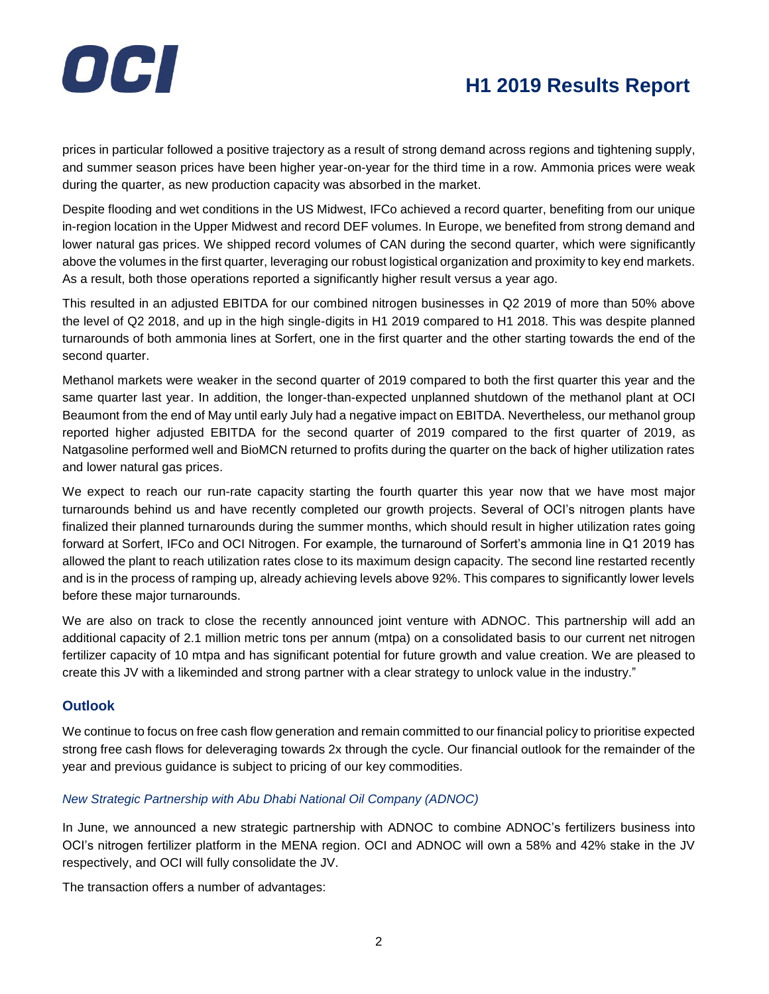

prices in particular followed a positive trajectory as a result of strong demand across regions and tightening supply, and summer season prices have been higher year-on-year for the third time in a row. Ammonia prices were weak during the quarter, as new production capacity was absorbed in the market.

Despite flooding and wet conditions in the US Midwest, IFCo achieved a record quarter, benefiting from our unique in-region location in the Upper Midwest and record DEF volumes. In Europe, we benefited from strong demand and lower natural gas prices. We shipped record volumes of CAN during the second quarter, which were significantly above the volumes in the first quarter, leveraging our robust logistical organization and proximity to key end markets. As a result, both those operations reported a significantly higher result versus a year ago.

This resulted in an adjusted EBITDA for our combined nitrogen businesses in Q2 2019 of more than 50% above the level of Q2 2018, and up in the high single-digits in H1 2019 compared to H1 2018. This was despite planned turnarounds of both ammonia lines at Sorfert, one in the first quarter and the other starting towards the end of the second quarter.

Methanol markets were weaker in the second quarter of 2019 compared to both the first quarter this year and the same quarter last year. In addition, the longer-than-expected unplanned shutdown of the methanol plant at OCI Beaumont from the end of May until early July had a negative impact on EBITDA. Nevertheless, our methanol group reported higher adjusted EBITDA for the second quarter of 2019 compared to the first quarter of 2019, as Natgasoline performed well and BioMCN returned to profits during the quarter on the back of higher utilization rates and lower natural gas prices.

We expect to reach our run-rate capacity starting the fourth quarter this year now that we have most major turnarounds behind us and have recently completed our growth projects. Several of OCI's nitrogen plants have finalized their planned turnarounds during the summer months, which should result in higher utilization rates going forward at Sorfert, IFCo and OCI Nitrogen. For example, the turnaround of Sorfert's ammonia line in Q1 2019 has allowed the plant to reach utilization rates close to its maximum design capacity. The second line restarted recently and is in the process of ramping up, already achieving levels above 92%. This compares to significantly lower levels before these major turnarounds.

We are also on track to close the recently announced joint venture with ADNOC. This partnership will add an additional capacity of 2.1 million metric tons per annum (mtpa) on a consolidated basis to our current net nitrogen fertilizer capacity of 10 mtpa and has significant potential for future growth and value creation. We are pleased to create this JV with a likeminded and strong partner with a clear strategy to unlock value in the industry."

### **Outlook**

We continue to focus on free cash flow generation and remain committed to our financial policy to prioritise expected strong free cash flows for deleveraging towards 2x through the cycle. Our financial outlook for the remainder of the year and previous guidance is subject to pricing of our key commodities.

### *New Strategic Partnership with Abu Dhabi National Oil Company (ADNOC)*

In June, we announced a new strategic partnership with ADNOC to combine ADNOC's fertilizers business into OCI's nitrogen fertilizer platform in the MENA region. OCI and ADNOC will own a 58% and 42% stake in the JV respectively, and OCI will fully consolidate the JV.

The transaction offers a number of advantages: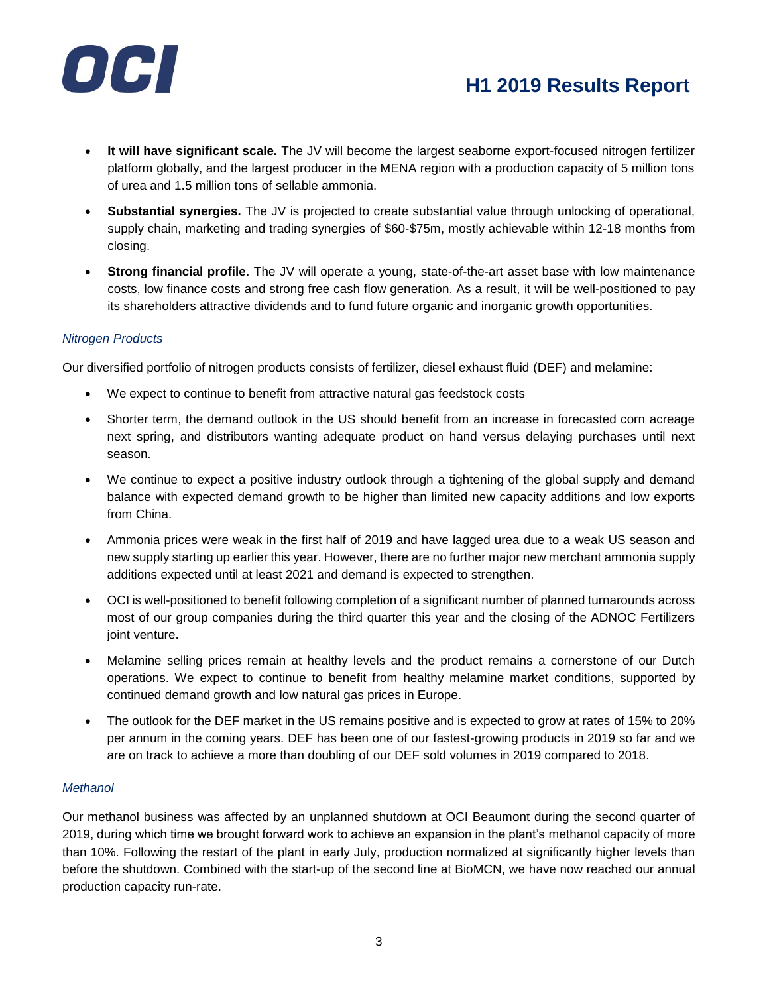

- **It will have significant scale.** The JV will become the largest seaborne export-focused nitrogen fertilizer platform globally, and the largest producer in the MENA region with a production capacity of 5 million tons of urea and 1.5 million tons of sellable ammonia.
- **Substantial synergies.** The JV is projected to create substantial value through unlocking of operational, supply chain, marketing and trading synergies of \$60-\$75m, mostly achievable within 12-18 months from closing.
- **Strong financial profile.** The JV will operate a young, state-of-the-art asset base with low maintenance costs, low finance costs and strong free cash flow generation. As a result, it will be well-positioned to pay its shareholders attractive dividends and to fund future organic and inorganic growth opportunities.

### *Nitrogen Products*

Our diversified portfolio of nitrogen products consists of fertilizer, diesel exhaust fluid (DEF) and melamine:

- We expect to continue to benefit from attractive natural gas feedstock costs
- Shorter term, the demand outlook in the US should benefit from an increase in forecasted corn acreage next spring, and distributors wanting adequate product on hand versus delaying purchases until next season.
- We continue to expect a positive industry outlook through a tightening of the global supply and demand balance with expected demand growth to be higher than limited new capacity additions and low exports from China.
- Ammonia prices were weak in the first half of 2019 and have lagged urea due to a weak US season and new supply starting up earlier this year. However, there are no further major new merchant ammonia supply additions expected until at least 2021 and demand is expected to strengthen.
- OCI is well-positioned to benefit following completion of a significant number of planned turnarounds across most of our group companies during the third quarter this year and the closing of the ADNOC Fertilizers joint venture.
- Melamine selling prices remain at healthy levels and the product remains a cornerstone of our Dutch operations. We expect to continue to benefit from healthy melamine market conditions, supported by continued demand growth and low natural gas prices in Europe.
- The outlook for the DEF market in the US remains positive and is expected to grow at rates of 15% to 20% per annum in the coming years. DEF has been one of our fastest-growing products in 2019 so far and we are on track to achieve a more than doubling of our DEF sold volumes in 2019 compared to 2018.

#### *Methanol*

Our methanol business was affected by an unplanned shutdown at OCI Beaumont during the second quarter of 2019, during which time we brought forward work to achieve an expansion in the plant's methanol capacity of more than 10%. Following the restart of the plant in early July, production normalized at significantly higher levels than before the shutdown. Combined with the start-up of the second line at BioMCN, we have now reached our annual production capacity run-rate.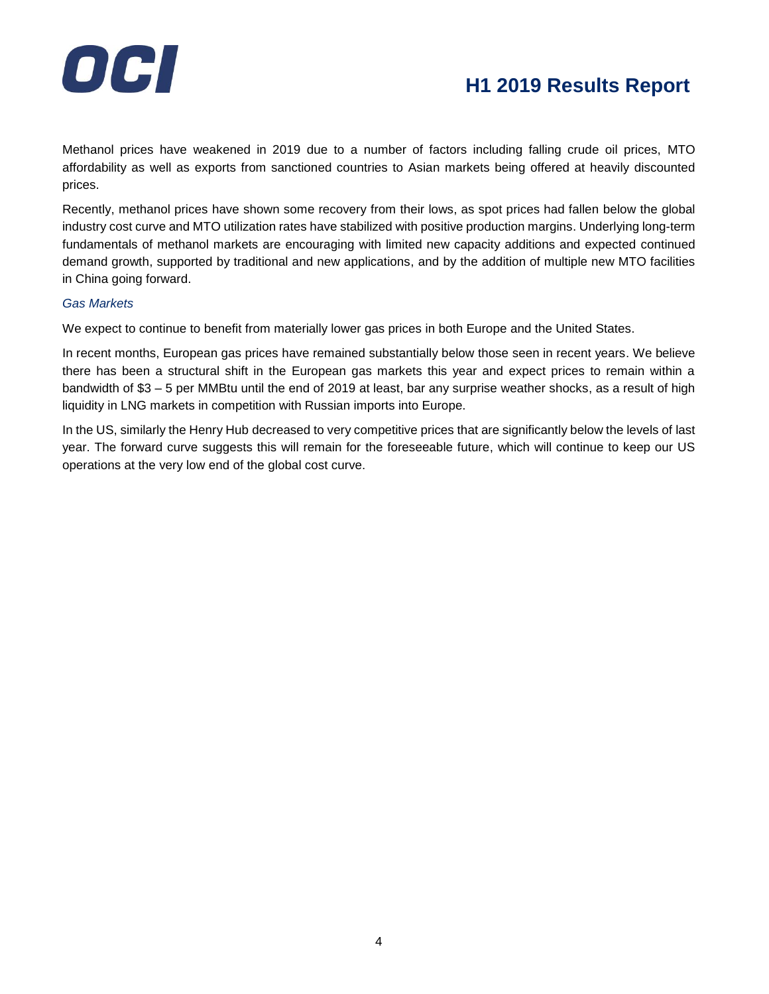

Methanol prices have weakened in 2019 due to a number of factors including falling crude oil prices, MTO affordability as well as exports from sanctioned countries to Asian markets being offered at heavily discounted prices.

Recently, methanol prices have shown some recovery from their lows, as spot prices had fallen below the global industry cost curve and MTO utilization rates have stabilized with positive production margins. Underlying long-term fundamentals of methanol markets are encouraging with limited new capacity additions and expected continued demand growth, supported by traditional and new applications, and by the addition of multiple new MTO facilities in China going forward.

### *Gas Markets*

We expect to continue to benefit from materially lower gas prices in both Europe and the United States.

In recent months, European gas prices have remained substantially below those seen in recent years. We believe there has been a structural shift in the European gas markets this year and expect prices to remain within a bandwidth of \$3 – 5 per MMBtu until the end of 2019 at least, bar any surprise weather shocks, as a result of high liquidity in LNG markets in competition with Russian imports into Europe.

In the US, similarly the Henry Hub decreased to very competitive prices that are significantly below the levels of last year. The forward curve suggests this will remain for the foreseeable future, which will continue to keep our US operations at the very low end of the global cost curve.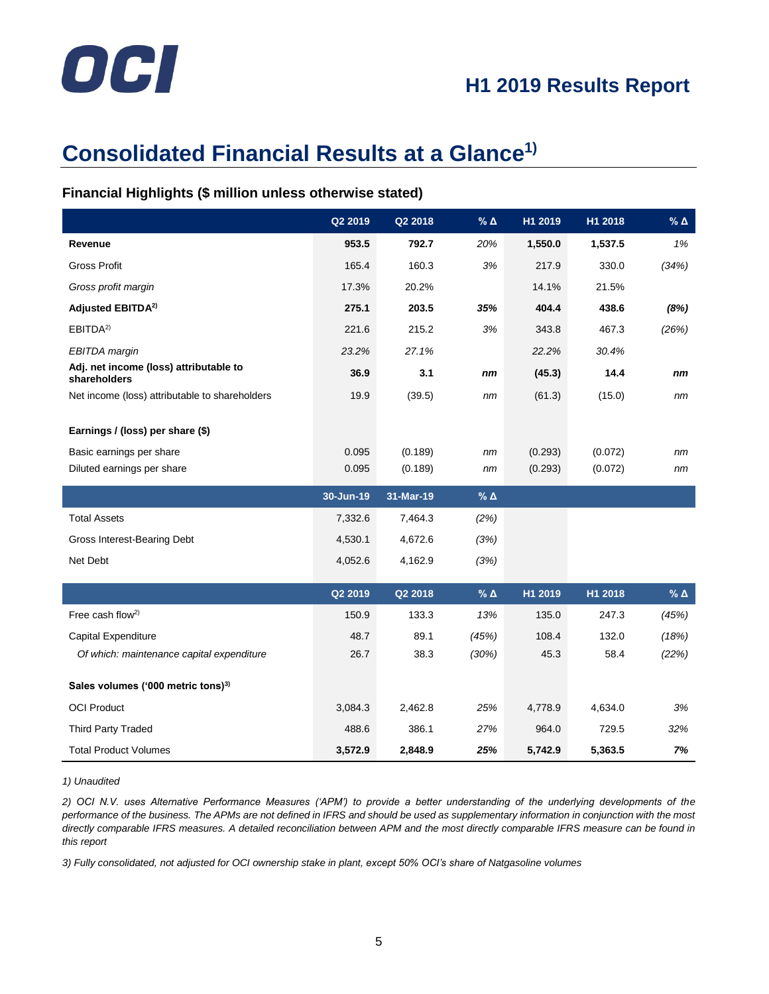# OCI

# **Consolidated Financial Results at a Glance1)**

### **Financial Highlights (\$ million unless otherwise stated)**

|                                                        | Q2 2019   | Q2 2018   | % $\Delta$      | H1 2019 | H1 2018 | % $\Delta$      |
|--------------------------------------------------------|-----------|-----------|-----------------|---------|---------|-----------------|
| Revenue                                                | 953.5     | 792.7     | 20%             | 1,550.0 | 1,537.5 | 1%              |
| <b>Gross Profit</b>                                    | 165.4     | 160.3     | 3%              | 217.9   | 330.0   | (34%)           |
| Gross profit margin                                    | 17.3%     | 20.2%     |                 | 14.1%   | 21.5%   |                 |
| Adjusted EBITDA <sup>2)</sup>                          | 275.1     | 203.5     | 35%             | 404.4   | 438.6   | (8%)            |
| EBITDA <sup>2)</sup>                                   | 221.6     | 215.2     | 3%              | 343.8   | 467.3   | (26%)           |
| <b>EBITDA</b> margin                                   | 23.2%     | 27.1%     |                 | 22.2%   | 30.4%   |                 |
| Adj. net income (loss) attributable to<br>shareholders | 36.9      | 3.1       | nm              | (45.3)  | 14.4    | nm              |
| Net income (loss) attributable to shareholders         | 19.9      | (39.5)    | nm              | (61.3)  | (15.0)  | nm              |
| Earnings / (loss) per share (\$)                       |           |           |                 |         |         |                 |
| Basic earnings per share                               | 0.095     | (0.189)   | nm              | (0.293) | (0.072) | nm              |
| Diluted earnings per share                             | 0.095     | (0.189)   | nm              | (0.293) | (0.072) | nm              |
|                                                        | 30-Jun-19 | 31-Mar-19 | $%$ $\triangle$ |         |         |                 |
| <b>Total Assets</b>                                    | 7,332.6   | 7,464.3   | (2%)            |         |         |                 |
| Gross Interest-Bearing Debt                            | 4,530.1   | 4,672.6   | (3%)            |         |         |                 |
| Net Debt                                               | 4,052.6   | 4,162.9   | (3%)            |         |         |                 |
|                                                        | Q2 2019   | Q2 2018   | $%$ $\triangle$ | H1 2019 | H1 2018 | $%$ $\triangle$ |
|                                                        |           |           |                 |         |         |                 |
| Free cash flow <sup>2)</sup>                           | 150.9     | 133.3     | 13%             | 135.0   | 247.3   | (45%)           |
| Capital Expenditure                                    | 48.7      | 89.1      | (45%)           | 108.4   | 132.0   | (18%)           |
| Of which: maintenance capital expenditure              | 26.7      | 38.3      | (30%)           | 45.3    | 58.4    | (22%)           |
| Sales volumes ('000 metric tons) <sup>3)</sup>         |           |           |                 |         |         |                 |
| <b>OCI Product</b>                                     | 3,084.3   | 2,462.8   | 25%             | 4,778.9 | 4,634.0 | 3%              |
| <b>Third Party Traded</b>                              | 488.6     | 386.1     | 27%             | 964.0   | 729.5   | 32%             |
| <b>Total Product Volumes</b>                           | 3,572.9   | 2,848.9   | 25%             | 5,742.9 | 5,363.5 | 7%              |

*1) Unaudited*

*2) OCI N.V. uses Alternative Performance Measures ('APM') to provide a better understanding of the underlying developments of the*  performance of the business. The APMs are not defined in IFRS and should be used as supplementary information in conjunction with the most *directly comparable IFRS measures. A detailed reconciliation between APM and the most directly comparable IFRS measure can be found in this report*

*3) Fully consolidated, not adjusted for OCI ownership stake in plant, except 50% OCI's share of Natgasoline volumes*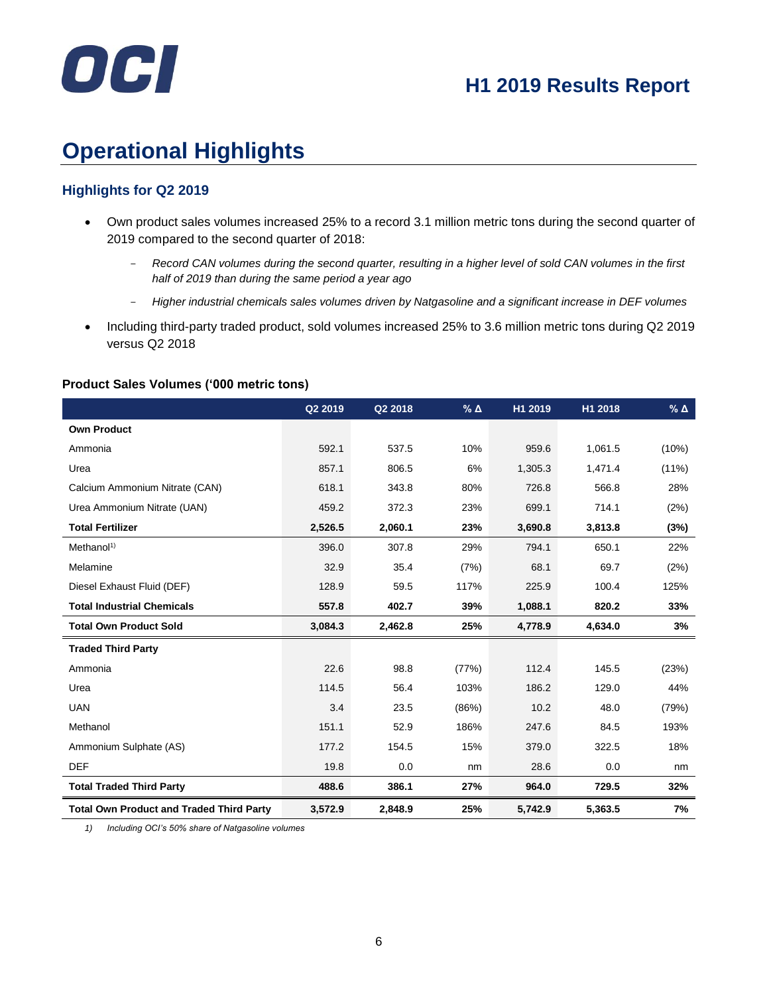

# **Operational Highlights**

### **Highlights for Q2 2019**

- Own product sales volumes increased 25% to a record 3.1 million metric tons during the second quarter of 2019 compared to the second quarter of 2018:
	- *Record CAN volumes during the second quarter, resulting in a higher level of sold CAN volumes in the first half of 2019 than during the same period a year ago*
	- *Higher industrial chemicals sales volumes driven by Natgasoline and a significant increase in DEF volumes*
- Including third-party traded product, sold volumes increased 25% to 3.6 million metric tons during Q2 2019 versus Q2 2018

### **Product Sales Volumes ('000 metric tons)**

|                                                 | Q2 2019 | Q2 2018 | $%$ $\triangle$ | H1 2019 | H1 2018 | $%$ $\triangle$ |
|-------------------------------------------------|---------|---------|-----------------|---------|---------|-----------------|
| <b>Own Product</b>                              |         |         |                 |         |         |                 |
| Ammonia                                         | 592.1   | 537.5   | 10%             | 959.6   | 1,061.5 | (10%)           |
| Urea                                            | 857.1   | 806.5   | 6%              | 1,305.3 | 1,471.4 | $(11\%)$        |
| Calcium Ammonium Nitrate (CAN)                  | 618.1   | 343.8   | 80%             | 726.8   | 566.8   | 28%             |
| Urea Ammonium Nitrate (UAN)                     | 459.2   | 372.3   | 23%             | 699.1   | 714.1   | (2%)            |
| <b>Total Fertilizer</b>                         | 2,526.5 | 2,060.1 | 23%             | 3,690.8 | 3,813.8 | (3%)            |
| Method <sup>1</sup>                             | 396.0   | 307.8   | 29%             | 794.1   | 650.1   | 22%             |
| Melamine                                        | 32.9    | 35.4    | (7%)            | 68.1    | 69.7    | (2%)            |
| Diesel Exhaust Fluid (DEF)                      | 128.9   | 59.5    | 117%            | 225.9   | 100.4   | 125%            |
| <b>Total Industrial Chemicals</b>               | 557.8   | 402.7   | 39%             | 1,088.1 | 820.2   | 33%             |
| <b>Total Own Product Sold</b>                   | 3,084.3 | 2,462.8 | 25%             | 4,778.9 | 4,634.0 | 3%              |
| <b>Traded Third Party</b>                       |         |         |                 |         |         |                 |
| Ammonia                                         | 22.6    | 98.8    | (77%)           | 112.4   | 145.5   | (23%)           |
| Urea                                            | 114.5   | 56.4    | 103%            | 186.2   | 129.0   | 44%             |
| <b>UAN</b>                                      | 3.4     | 23.5    | (86%)           | 10.2    | 48.0    | (79%)           |
| Methanol                                        | 151.1   | 52.9    | 186%            | 247.6   | 84.5    | 193%            |
| Ammonium Sulphate (AS)                          | 177.2   | 154.5   | 15%             | 379.0   | 322.5   | 18%             |
| <b>DEF</b>                                      | 19.8    | 0.0     | nm              | 28.6    | 0.0     | nm              |
| <b>Total Traded Third Party</b>                 | 488.6   | 386.1   | 27%             | 964.0   | 729.5   | 32%             |
| <b>Total Own Product and Traded Third Party</b> | 3,572.9 | 2,848.9 | 25%             | 5,742.9 | 5,363.5 | 7%              |

*1) Including OCI's 50% share of Natgasoline volumes*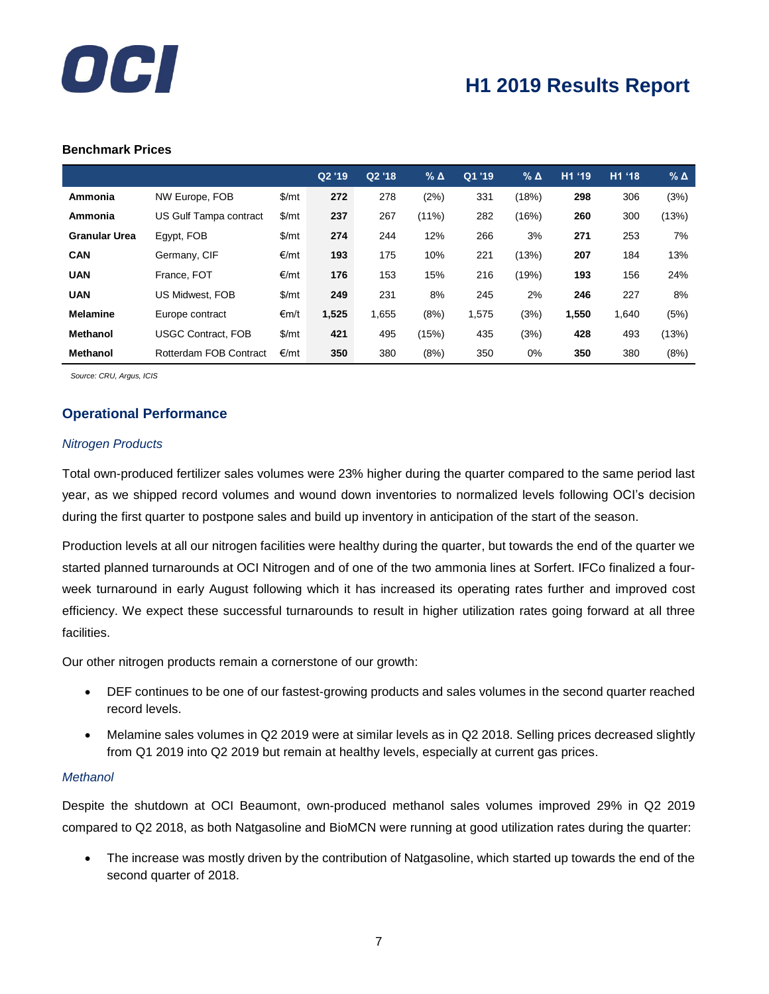

#### **Benchmark Prices**

|                      |                           |       | Q2 '19 | Q2 '18 | % ∆      | Q1 '19 | $%$ $\triangle$ | H1 '19 | H1 '18 | $%$ $\triangle$ |
|----------------------|---------------------------|-------|--------|--------|----------|--------|-----------------|--------|--------|-----------------|
| Ammonia              | NW Europe, FOB            | \$/mt | 272    | 278    | (2%)     | 331    | (18%)           | 298    | 306    | (3%)            |
| Ammonia              | US Gulf Tampa contract    | \$/mt | 237    | 267    | $(11\%)$ | 282    | (16%)           | 260    | 300    | (13%)           |
| <b>Granular Urea</b> | Egypt, FOB                | \$/mt | 274    | 244    | 12%      | 266    | 3%              | 271    | 253    | 7%              |
| <b>CAN</b>           | Germany, CIF              | €/mt  | 193    | 175    | 10%      | 221    | (13%)           | 207    | 184    | 13%             |
| <b>UAN</b>           | France, FOT               | €/mt  | 176    | 153    | 15%      | 216    | (19%)           | 193    | 156    | 24%             |
| <b>UAN</b>           | <b>US Midwest, FOB</b>    | \$/mt | 249    | 231    | 8%       | 245    | 2%              | 246    | 227    | 8%              |
| <b>Melamine</b>      | Europe contract           | €m/t  | 1,525  | 1,655  | (8%)     | 1,575  | (3%)            | 1,550  | 1,640  | (5%)            |
| <b>Methanol</b>      | <b>USGC Contract, FOB</b> | \$/mt | 421    | 495    | (15%)    | 435    | (3%)            | 428    | 493    | (13%)           |
| <b>Methanol</b>      | Rotterdam FOB Contract    | €/mt  | 350    | 380    | (8%)     | 350    | 0%              | 350    | 380    | (8%)            |

 *Source: CRU, Argus, ICIS*

### **Operational Performance**

#### *Nitrogen Products*

Total own-produced fertilizer sales volumes were 23% higher during the quarter compared to the same period last year, as we shipped record volumes and wound down inventories to normalized levels following OCI's decision during the first quarter to postpone sales and build up inventory in anticipation of the start of the season.

Production levels at all our nitrogen facilities were healthy during the quarter, but towards the end of the quarter we started planned turnarounds at OCI Nitrogen and of one of the two ammonia lines at Sorfert. IFCo finalized a fourweek turnaround in early August following which it has increased its operating rates further and improved cost efficiency. We expect these successful turnarounds to result in higher utilization rates going forward at all three facilities.

Our other nitrogen products remain a cornerstone of our growth:

- DEF continues to be one of our fastest-growing products and sales volumes in the second quarter reached record levels.
- Melamine sales volumes in Q2 2019 were at similar levels as in Q2 2018. Selling prices decreased slightly from Q1 2019 into Q2 2019 but remain at healthy levels, especially at current gas prices.

#### *Methanol*

Despite the shutdown at OCI Beaumont, own-produced methanol sales volumes improved 29% in Q2 2019 compared to Q2 2018, as both Natgasoline and BioMCN were running at good utilization rates during the quarter:

• The increase was mostly driven by the contribution of Natgasoline, which started up towards the end of the second quarter of 2018.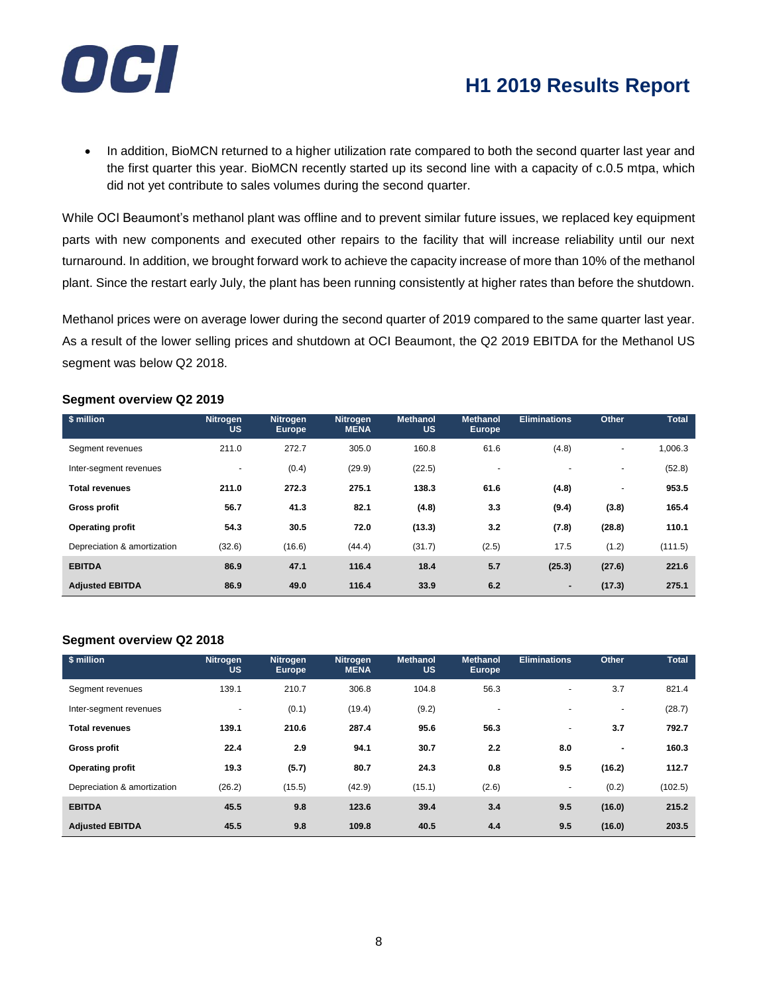

• In addition, BioMCN returned to a higher utilization rate compared to both the second quarter last year and the first quarter this year. BioMCN recently started up its second line with a capacity of c.0.5 mtpa, which did not yet contribute to sales volumes during the second quarter.

While OCI Beaumont's methanol plant was offline and to prevent similar future issues, we replaced key equipment parts with new components and executed other repairs to the facility that will increase reliability until our next turnaround. In addition, we brought forward work to achieve the capacity increase of more than 10% of the methanol plant. Since the restart early July, the plant has been running consistently at higher rates than before the shutdown.

Methanol prices were on average lower during the second quarter of 2019 compared to the same quarter last year. As a result of the lower selling prices and shutdown at OCI Beaumont, the Q2 2019 EBITDA for the Methanol US segment was below Q2 2018.

| $\sqrt{s}$ million          | <b>Nitrogen</b><br><b>US</b> | <b>Nitrogen</b><br><b>Europe</b> | <b>Nitrogen</b><br><b>MENA</b> | <b>Methanol</b><br><b>US</b> | <b>Methanol</b><br><b>Europe</b> | <b>Eliminations</b> | Other                    | <b>Total</b> |
|-----------------------------|------------------------------|----------------------------------|--------------------------------|------------------------------|----------------------------------|---------------------|--------------------------|--------------|
| Segment revenues            | 211.0                        | 272.7                            | 305.0                          | 160.8                        | 61.6                             | (4.8)               | $\overline{\phantom{a}}$ | 1,006.3      |
| Inter-segment revenues      | $\overline{\phantom{0}}$     | (0.4)                            | (29.9)                         | (22.5)                       | ٠                                |                     | $\overline{\phantom{a}}$ | (52.8)       |
| <b>Total revenues</b>       | 211.0                        | 272.3                            | 275.1                          | 138.3                        | 61.6                             | (4.8)               | ٠                        | 953.5        |
| <b>Gross profit</b>         | 56.7                         | 41.3                             | 82.1                           | (4.8)                        | 3.3                              | (9.4)               | (3.8)                    | 165.4        |
| <b>Operating profit</b>     | 54.3                         | 30.5                             | 72.0                           | (13.3)                       | 3.2                              | (7.8)               | (28.8)                   | 110.1        |
| Depreciation & amortization | (32.6)                       | (16.6)                           | (44.4)                         | (31.7)                       | (2.5)                            | 17.5                | (1.2)                    | (111.5)      |
| <b>EBITDA</b>               | 86.9                         | 47.1                             | 116.4                          | 18.4                         | 5.7                              | (25.3)              | (27.6)                   | 221.6        |
| <b>Adjusted EBITDA</b>      | 86.9                         | 49.0                             | 116.4                          | 33.9                         | 6.2                              | ٠                   | (17.3)                   | 275.1        |

### **Segment overview Q2 2019**

### **Segment overview Q2 2018**

| \$ million                  | <b>Nitrogen</b><br><b>US</b> | Nitrogen<br><b>Europe</b> | <b>Nitrogen</b><br><b>MENA</b> | <b>Methanol</b><br><b>US</b> | <b>Methanol</b><br><b>Europe</b> | <b>Eliminations</b> | Other                    | <b>Total</b> |
|-----------------------------|------------------------------|---------------------------|--------------------------------|------------------------------|----------------------------------|---------------------|--------------------------|--------------|
| Segment revenues            | 139.1                        | 210.7                     | 306.8                          | 104.8                        | 56.3                             | $\sim$              | 3.7                      | 821.4        |
| Inter-segment revenues      | $\sim$                       | (0.1)                     | (19.4)                         | (9.2)                        | $\overline{\phantom{a}}$         |                     | $\overline{\phantom{a}}$ | (28.7)       |
| <b>Total revenues</b>       | 139.1                        | 210.6                     | 287.4                          | 95.6                         | 56.3                             | $\sim$              | 3.7                      | 792.7        |
| <b>Gross profit</b>         | 22.4                         | 2.9                       | 94.1                           | 30.7                         | 2.2                              | 8.0                 | ٠                        | 160.3        |
| <b>Operating profit</b>     | 19.3                         | (5.7)                     | 80.7                           | 24.3                         | 0.8                              | 9.5                 | (16.2)                   | 112.7        |
| Depreciation & amortization | (26.2)                       | (15.5)                    | (42.9)                         | (15.1)                       | (2.6)                            | $\sim$              | (0.2)                    | (102.5)      |
| <b>EBITDA</b>               | 45.5                         | 9.8                       | 123.6                          | 39.4                         | 3.4                              | 9.5                 | (16.0)                   | 215.2        |
| <b>Adjusted EBITDA</b>      | 45.5                         | 9.8                       | 109.8                          | 40.5                         | 4.4                              | 9.5                 | (16.0)                   | 203.5        |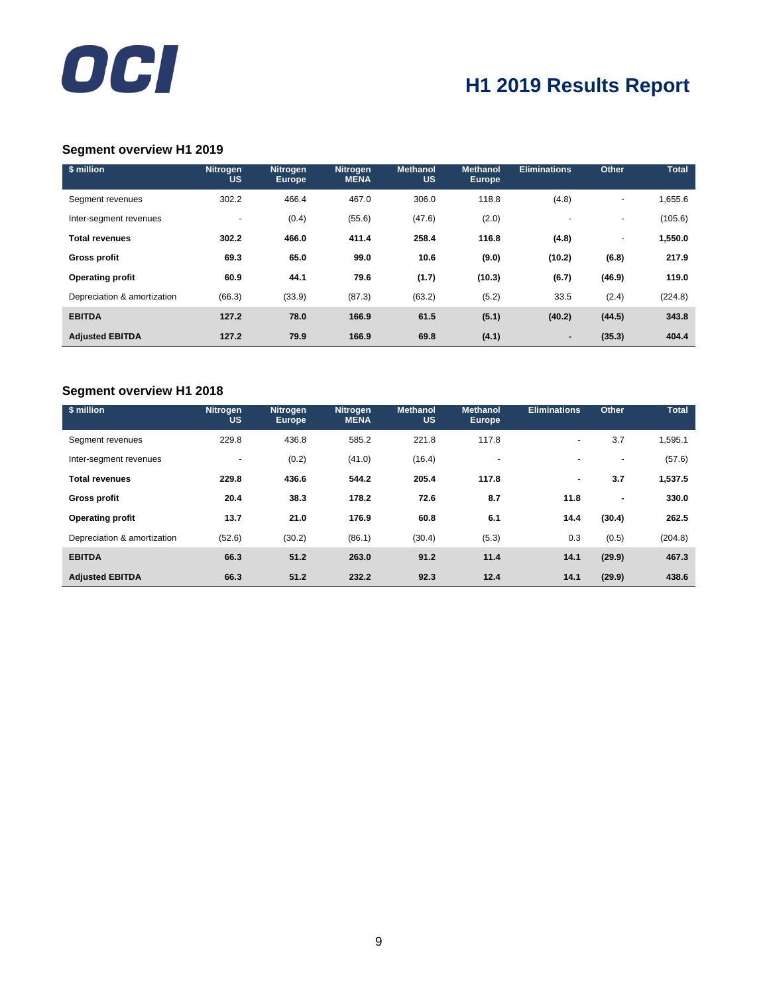

### **Segment overview H1 2019**

| \$ million                  | <b>Nitrogen</b><br><b>US</b> | <b>Nitrogen</b><br><b>Europe</b> | <b>Nitrogen</b><br><b>MENA</b> | <b>Methanol</b><br><b>US</b> | <b>Methanol</b><br><b>Europe</b> | <b>Eliminations</b> | Other                    | <b>Total</b> |
|-----------------------------|------------------------------|----------------------------------|--------------------------------|------------------------------|----------------------------------|---------------------|--------------------------|--------------|
| Segment revenues            | 302.2                        | 466.4                            | 467.0                          | 306.0                        | 118.8                            | (4.8)               | ٠                        | 1,655.6      |
| Inter-segment revenues      | $\overline{a}$               | (0.4)                            | (55.6)                         | (47.6)                       | (2.0)                            |                     | $\overline{\phantom{a}}$ | (105.6)      |
| <b>Total revenues</b>       | 302.2                        | 466.0                            | 411.4                          | 258.4                        | 116.8                            | (4.8)               | ٠                        | 1,550.0      |
| <b>Gross profit</b>         | 69.3                         | 65.0                             | 99.0                           | 10.6                         | (9.0)                            | (10.2)              | (6.8)                    | 217.9        |
| <b>Operating profit</b>     | 60.9                         | 44.1                             | 79.6                           | (1.7)                        | (10.3)                           | (6.7)               | (46.9)                   | 119.0        |
| Depreciation & amortization | (66.3)                       | (33.9)                           | (87.3)                         | (63.2)                       | (5.2)                            | 33.5                | (2.4)                    | (224.8)      |
| <b>EBITDA</b>               | 127.2                        | 78.0                             | 166.9                          | 61.5                         | (5.1)                            | (40.2)              | (44.5)                   | 343.8        |
| <b>Adjusted EBITDA</b>      | 127.2                        | 79.9                             | 166.9                          | 69.8                         | (4.1)                            |                     | (35.3)                   | 404.4        |

### **Segment overview H1 2018**

| \$ million                  | <b>Nitrogen</b><br><b>US</b> | <b>Nitrogen</b><br><b>Europe</b> | <b>Nitrogen</b><br><b>MENA</b> | <b>Methanol</b><br><b>US</b> | <b>Methanol</b><br><b>Europe</b> | <b>Eliminations</b>      | Other                    | <b>Total</b> |
|-----------------------------|------------------------------|----------------------------------|--------------------------------|------------------------------|----------------------------------|--------------------------|--------------------------|--------------|
| Segment revenues            | 229.8                        | 436.8                            | 585.2                          | 221.8                        | 117.8                            | $\blacksquare$           | 3.7                      | 1,595.1      |
| Inter-segment revenues      | $\blacksquare$               | (0.2)                            | (41.0)                         | (16.4)                       | $\overline{\phantom{a}}$         | $\blacksquare$           | $\overline{\phantom{a}}$ | (57.6)       |
| <b>Total revenues</b>       | 229.8                        | 436.6                            | 544.2                          | 205.4                        | 117.8                            | $\overline{\phantom{a}}$ | 3.7                      | 1,537.5      |
| <b>Gross profit</b>         | 20.4                         | 38.3                             | 178.2                          | 72.6                         | 8.7                              | 11.8                     | $\blacksquare$           | 330.0        |
| <b>Operating profit</b>     | 13.7                         | 21.0                             | 176.9                          | 60.8                         | 6.1                              | 14.4                     | (30.4)                   | 262.5        |
| Depreciation & amortization | (52.6)                       | (30.2)                           | (86.1)                         | (30.4)                       | (5.3)                            | 0.3                      | (0.5)                    | (204.8)      |
| <b>EBITDA</b>               | 66.3                         | 51.2                             | 263.0                          | 91.2                         | 11.4                             | 14.1                     | (29.9)                   | 467.3        |
| <b>Adjusted EBITDA</b>      | 66.3                         | 51.2                             | 232.2                          | 92.3                         | 12.4                             | 14.1                     | (29.9)                   | 438.6        |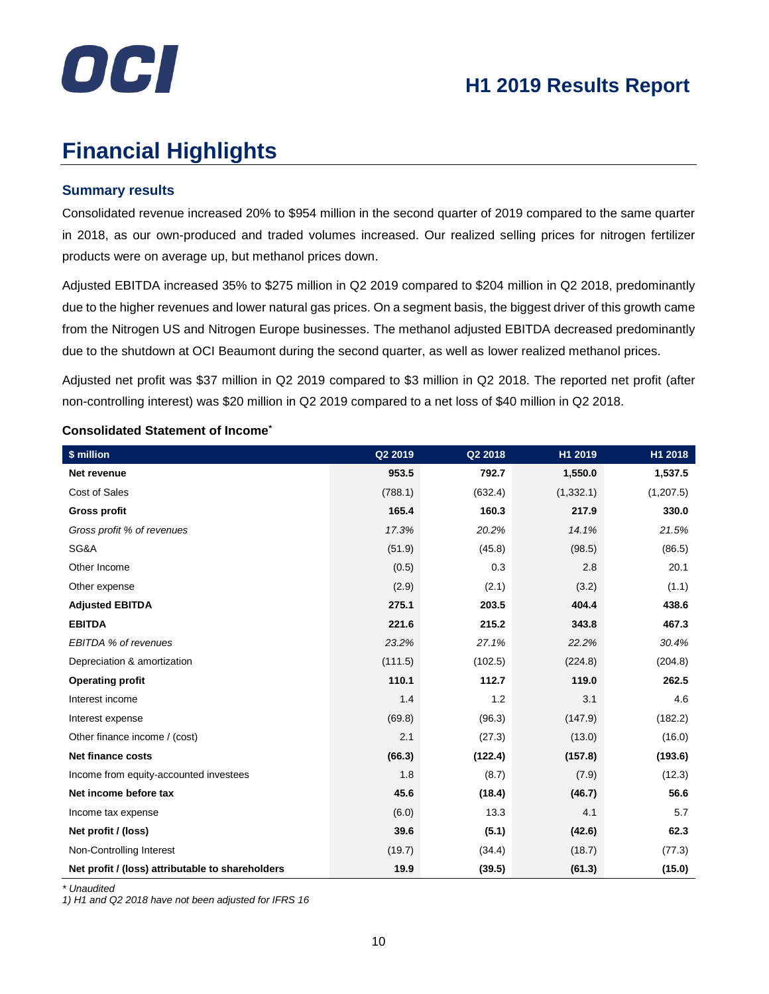

# **Financial Highlights**

### **Summary results**

Consolidated revenue increased 20% to \$954 million in the second quarter of 2019 compared to the same quarter in 2018, as our own-produced and traded volumes increased. Our realized selling prices for nitrogen fertilizer products were on average up, but methanol prices down.

Adjusted EBITDA increased 35% to \$275 million in Q2 2019 compared to \$204 million in Q2 2018, predominantly due to the higher revenues and lower natural gas prices. On a segment basis, the biggest driver of this growth came from the Nitrogen US and Nitrogen Europe businesses. The methanol adjusted EBITDA decreased predominantly due to the shutdown at OCI Beaumont during the second quarter, as well as lower realized methanol prices.

Adjusted net profit was \$37 million in Q2 2019 compared to \$3 million in Q2 2018. The reported net profit (after non-controlling interest) was \$20 million in Q2 2019 compared to a net loss of \$40 million in Q2 2018.

| \$ million                                       | Q2 2019 | Q2 2018 | H1 2019    | H1 2018    |
|--------------------------------------------------|---------|---------|------------|------------|
| Net revenue                                      | 953.5   | 792.7   | 1,550.0    | 1,537.5    |
| Cost of Sales                                    | (788.1) | (632.4) | (1, 332.1) | (1, 207.5) |
| <b>Gross profit</b>                              | 165.4   | 160.3   | 217.9      | 330.0      |
| Gross profit % of revenues                       | 17.3%   | 20.2%   | 14.1%      | 21.5%      |
| SG&A                                             | (51.9)  | (45.8)  | (98.5)     | (86.5)     |
| Other Income                                     | (0.5)   | 0.3     | 2.8        | 20.1       |
| Other expense                                    | (2.9)   | (2.1)   | (3.2)      | (1.1)      |
| <b>Adjusted EBITDA</b>                           | 275.1   | 203.5   | 404.4      | 438.6      |
| <b>EBITDA</b>                                    | 221.6   | 215.2   | 343.8      | 467.3      |
| EBITDA % of revenues                             | 23.2%   | 27.1%   | 22.2%      | 30.4%      |
| Depreciation & amortization                      | (111.5) | (102.5) | (224.8)    | (204.8)    |
| <b>Operating profit</b>                          | 110.1   | 112.7   | 119.0      | 262.5      |
| Interest income                                  | 1.4     | 1.2     | 3.1        | 4.6        |
| Interest expense                                 | (69.8)  | (96.3)  | (147.9)    | (182.2)    |
| Other finance income / (cost)                    | 2.1     | (27.3)  | (13.0)     | (16.0)     |
| <b>Net finance costs</b>                         | (66.3)  | (122.4) | (157.8)    | (193.6)    |
| Income from equity-accounted investees           | 1.8     | (8.7)   | (7.9)      | (12.3)     |
| Net income before tax                            | 45.6    | (18.4)  | (46.7)     | 56.6       |
| Income tax expense                               | (6.0)   | 13.3    | 4.1        | 5.7        |
| Net profit / (loss)                              | 39.6    | (5.1)   | (42.6)     | 62.3       |
| Non-Controlling Interest                         | (19.7)  | (34.4)  | (18.7)     | (77.3)     |
| Net profit / (loss) attributable to shareholders | 19.9    | (39.5)  | (61.3)     | (15.0)     |

### **Consolidated Statement of Income\***

*\* Unaudited*

*1) H1 and Q2 2018 have not been adjusted for IFRS 16*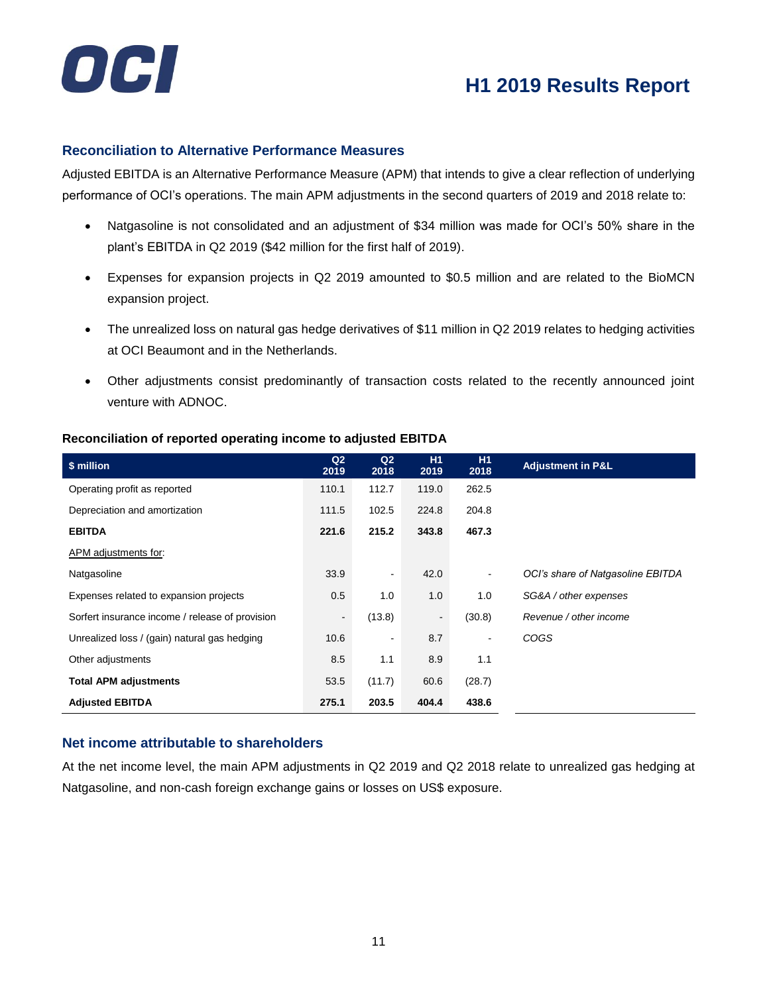

### **Reconciliation to Alternative Performance Measures**

Adjusted EBITDA is an Alternative Performance Measure (APM) that intends to give a clear reflection of underlying performance of OCI's operations. The main APM adjustments in the second quarters of 2019 and 2018 relate to:

- Natgasoline is not consolidated and an adjustment of \$34 million was made for OCI's 50% share in the plant's EBITDA in Q2 2019 (\$42 million for the first half of 2019).
- Expenses for expansion projects in Q2 2019 amounted to \$0.5 million and are related to the BioMCN expansion project.
- The unrealized loss on natural gas hedge derivatives of \$11 million in Q2 2019 relates to hedging activities at OCI Beaumont and in the Netherlands.
- Other adjustments consist predominantly of transaction costs related to the recently announced joint venture with ADNOC.

| \$ million                                      | Q2<br>2019     | Q <sub>2</sub><br>2018 | H1<br>2019     | H1<br>2018     | <b>Adjustment in P&amp;L</b>      |
|-------------------------------------------------|----------------|------------------------|----------------|----------------|-----------------------------------|
| Operating profit as reported                    | 110.1          | 112.7                  | 119.0          | 262.5          |                                   |
| Depreciation and amortization                   | 111.5          | 102.5                  | 224.8          | 204.8          |                                   |
| <b>EBITDA</b>                                   | 221.6          | 215.2                  | 343.8          | 467.3          |                                   |
| APM adjustments for:                            |                |                        |                |                |                                   |
| Natgasoline                                     | 33.9           | ٠                      | 42.0           | $\blacksquare$ | OCI's share of Natgasoline EBITDA |
| Expenses related to expansion projects          | 0.5            | 1.0                    | 1.0            | 1.0            | SG&A / other expenses             |
| Sorfert insurance income / release of provision | $\blacksquare$ | (13.8)                 | $\blacksquare$ | (30.8)         | Revenue / other income            |
| Unrealized loss / (gain) natural gas hedging    | 10.6           | ۰                      | 8.7            | ۰              | <b>COGS</b>                       |
| Other adjustments                               | 8.5            | 1.1                    | 8.9            | 1.1            |                                   |
| <b>Total APM adjustments</b>                    | 53.5           | (11.7)                 | 60.6           | (28.7)         |                                   |
| <b>Adjusted EBITDA</b>                          | 275.1          | 203.5                  | 404.4          | 438.6          |                                   |

### **Reconciliation of reported operating income to adjusted EBITDA**

### **Net income attributable to shareholders**

At the net income level, the main APM adjustments in Q2 2019 and Q2 2018 relate to unrealized gas hedging at Natgasoline, and non-cash foreign exchange gains or losses on US\$ exposure.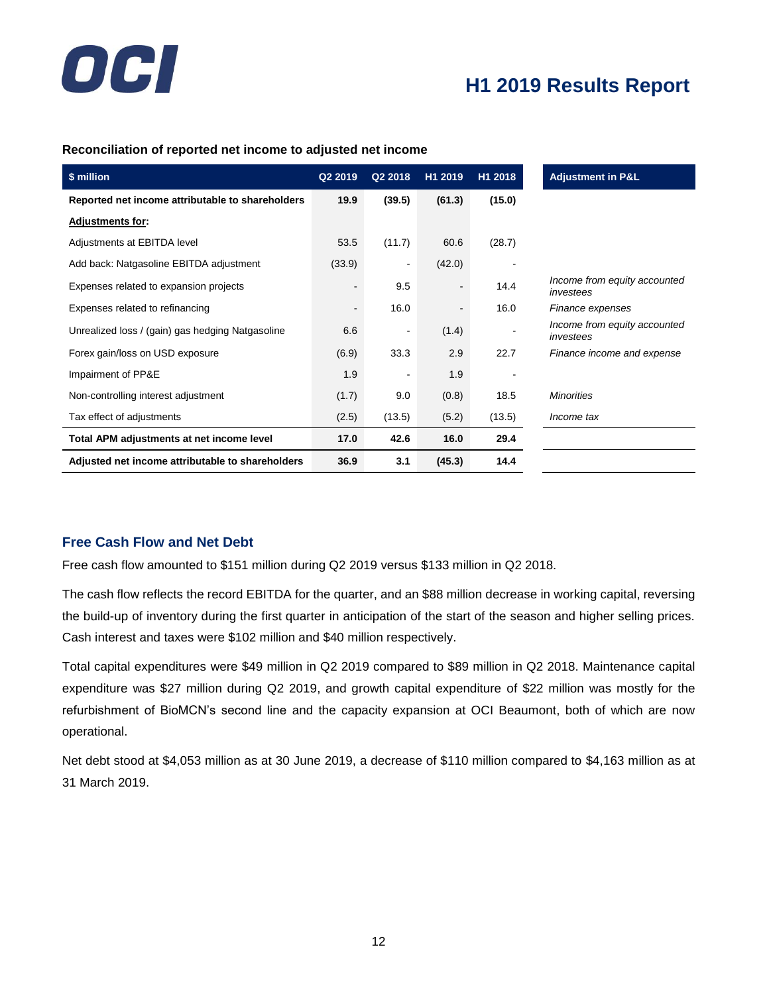

### **Reconciliation of reported net income to adjusted net income**

| \$ million                                       | Q2 2019        | Q2 2018                  | H1 2019 | H1 2018 | <b>Adjustment in P&amp;L</b>              |
|--------------------------------------------------|----------------|--------------------------|---------|---------|-------------------------------------------|
| Reported net income attributable to shareholders | 19.9           | (39.5)                   | (61.3)  | (15.0)  |                                           |
| <b>Adjustments for:</b>                          |                |                          |         |         |                                           |
| Adjustments at EBITDA level                      | 53.5           | (11.7)                   | 60.6    | (28.7)  |                                           |
| Add back: Natgasoline EBITDA adjustment          | (33.9)         | $\overline{\phantom{a}}$ | (42.0)  |         |                                           |
| Expenses related to expansion projects           | ۰              | 9.5                      |         | 14.4    | Income from equity accounted<br>investees |
| Expenses related to refinancing                  | $\blacksquare$ | 16.0                     |         | 16.0    | Finance expenses                          |
| Unrealized loss / (gain) gas hedging Natgasoline | 6.6            | ٠                        | (1.4)   |         | Income from equity accounted<br>investees |
| Forex gain/loss on USD exposure                  | (6.9)          | 33.3                     | 2.9     | 22.7    | Finance income and expense                |
| Impairment of PP&E                               | 1.9            |                          | 1.9     |         |                                           |
| Non-controlling interest adjustment              | (1.7)          | 9.0                      | (0.8)   | 18.5    | <b>Minorities</b>                         |
| Tax effect of adjustments                        | (2.5)          | (13.5)                   | (5.2)   | (13.5)  | Income tax                                |
| Total APM adjustments at net income level        | 17.0           | 42.6                     | 16.0    | 29.4    |                                           |
| Adjusted net income attributable to shareholders | 36.9           | 3.1                      | (45.3)  | 14.4    |                                           |

### **Free Cash Flow and Net Debt**

Free cash flow amounted to \$151 million during Q2 2019 versus \$133 million in Q2 2018.

The cash flow reflects the record EBITDA for the quarter, and an \$88 million decrease in working capital, reversing the build-up of inventory during the first quarter in anticipation of the start of the season and higher selling prices. Cash interest and taxes were \$102 million and \$40 million respectively.

Total capital expenditures were \$49 million in Q2 2019 compared to \$89 million in Q2 2018. Maintenance capital expenditure was \$27 million during Q2 2019, and growth capital expenditure of \$22 million was mostly for the refurbishment of BioMCN's second line and the capacity expansion at OCI Beaumont, both of which are now operational.

Net debt stood at \$4,053 million as at 30 June 2019, a decrease of \$110 million compared to \$4,163 million as at 31 March 2019.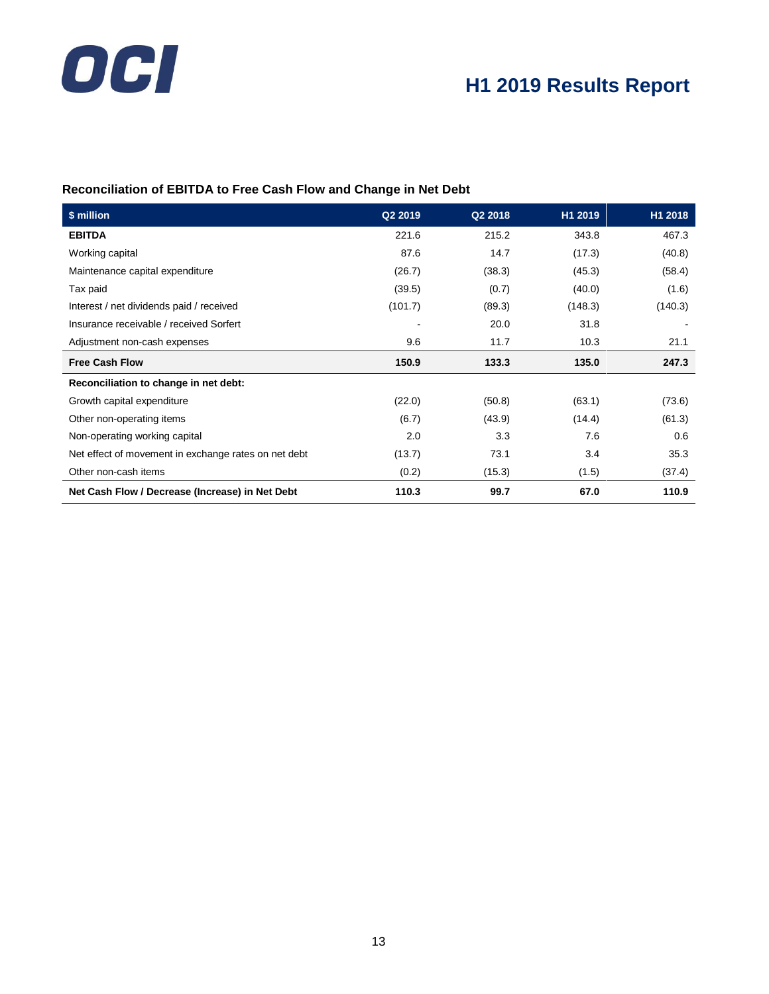# OCI

# **H1 2019 Results Report**

### **Reconciliation of EBITDA to Free Cash Flow and Change in Net Debt**

| \$ million                                           | Q2 2019                  | Q2 2018 | H1 2019 | H1 2018 |
|------------------------------------------------------|--------------------------|---------|---------|---------|
| <b>EBITDA</b>                                        | 221.6                    | 215.2   | 343.8   | 467.3   |
| Working capital                                      | 87.6                     | 14.7    | (17.3)  | (40.8)  |
| Maintenance capital expenditure                      | (26.7)                   | (38.3)  | (45.3)  | (58.4)  |
| Tax paid                                             | (39.5)                   | (0.7)   | (40.0)  | (1.6)   |
| Interest / net dividends paid / received             | (101.7)                  | (89.3)  | (148.3) | (140.3) |
| Insurance receivable / received Sorfert              | $\overline{\phantom{0}}$ | 20.0    | 31.8    |         |
| Adjustment non-cash expenses                         | 9.6                      | 11.7    | 10.3    | 21.1    |
| <b>Free Cash Flow</b>                                | 150.9                    | 133.3   | 135.0   | 247.3   |
| Reconciliation to change in net debt:                |                          |         |         |         |
| Growth capital expenditure                           | (22.0)                   | (50.8)  | (63.1)  | (73.6)  |
| Other non-operating items                            | (6.7)                    | (43.9)  | (14.4)  | (61.3)  |
| Non-operating working capital                        | 2.0                      | 3.3     | 7.6     | 0.6     |
| Net effect of movement in exchange rates on net debt | (13.7)                   | 73.1    | 3.4     | 35.3    |
| Other non-cash items                                 | (0.2)                    | (15.3)  | (1.5)   | (37.4)  |
| Net Cash Flow / Decrease (Increase) in Net Debt      | 110.3                    | 99.7    | 67.0    | 110.9   |